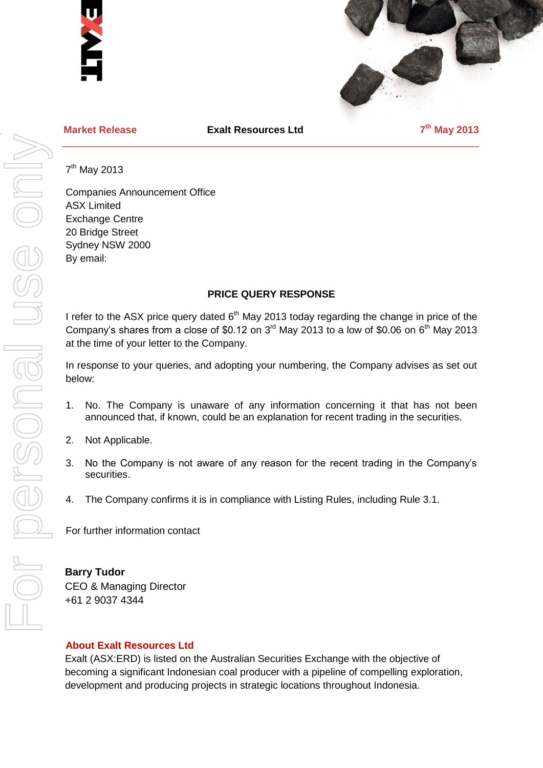



**Market Release Exalt Resources Ltd 7**

**th May 2013**

7<sup>th</sup> May 2013

Companies Announcement Office ASX Limited Exchange Centre 20 Bridge Street Sydney NSW 2000 By email:

# **PRICE QUERY RESPONSE**

I refer to the ASX price query dated  $6<sup>th</sup>$  May 2013 today regarding the change in price of the Company's shares from a close of \$0.12 on  $3<sup>rd</sup>$  May 2013 to a low of \$0.06 on  $6<sup>th</sup>$  May 2013 at the time of your letter to the Company.

In response to your queries, and adopting your numbering, the Company advises as set out below:

- 1. No. The Company is unaware of any information concerning it that has not been announced that, if known, could be an explanation for recent trading in the securities.
- 2. Not Applicable.
- 3. No the Company is not aware of any reason for the recent trading in the Company's securities.
- 4. The Company confirms it is in compliance with Listing Rules, including Rule 3.1.

For further information contact

## **Barry Tudor**

CEO & Managing Director +61 2 9037 4344

#### **About Exalt Resources Ltd**

Exalt (ASX:ERD) is listed on the Australian Securities Exchange with the objective of becoming a significant Indonesian coal producer with a pipeline of compelling exploration, development and producing projects in strategic locations throughout Indonesia.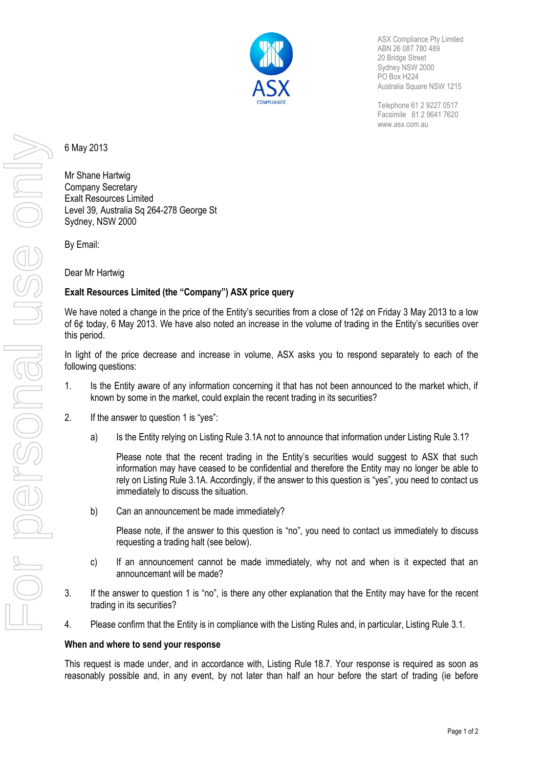

ASX Compliance Pty Limited ABN 26 087 780 489 20 Bridge Street Sydney NSW 2000 PO Box H224 Australia Square NSW 1215

Telephone 61 2 9227 0517 Facsimile 61 2 9641 7620 www.asx.com.au

6 May 2013

Mr Shane Hartwig Company Secretary Exalt Resources Limited Level 39, Australia Sq 264-278 George St Sydney, NSW 2000

By Email:

Dear Mr Hartwig

# **Exalt Resources Limited (the "Company") ASX price query**

We have noted a change in the price of the Entity's securities from a close of 12¢ on Friday 3 May 2013 to a low of 6¢ today, 6 May 2013. We have also noted an increase in the volume of trading in the Entity's securities over this period.

In light of the price decrease and increase in volume, ASX asks you to respond separately to each of the following questions:

- 1. Is the Entity aware of any information concerning it that has not been announced to the market which, if known by some in the market, could explain the recent trading in its securities?
- 2. If the answer to question 1 is "yes":
	- a) Is the Entity relying on Listing Rule 3.1A not to announce that information under Listing Rule 3.1?

Please note that the recent trading in the Entity's securities would suggest to ASX that such information may have ceased to be confidential and therefore the Entity may no longer be able to rely on Listing Rule 3.1A. Accordingly, if the answer to this question is "yes", you need to contact us immediately to discuss the situation.

b) Can an announcement be made immediately?

Please note, if the answer to this question is "no", you need to contact us immediately to discuss requesting a trading halt (see below).

- c) If an announcement cannot be made immediately, why not and when is it expected that an announcemant will be made?
- 3. If the answer to question 1 is "no", is there any other explanation that the Entity may have for the recent trading in its securities?
- 4. Please confirm that the Entity is in compliance with the Listing Rules and, in particular, Listing Rule 3.1.

## **When and where to send your response**

This request is made under, and in accordance with, Listing Rule 18.7. Your response is required as soon as reasonably possible and, in any event, by not later than half an hour before the start of trading (ie before